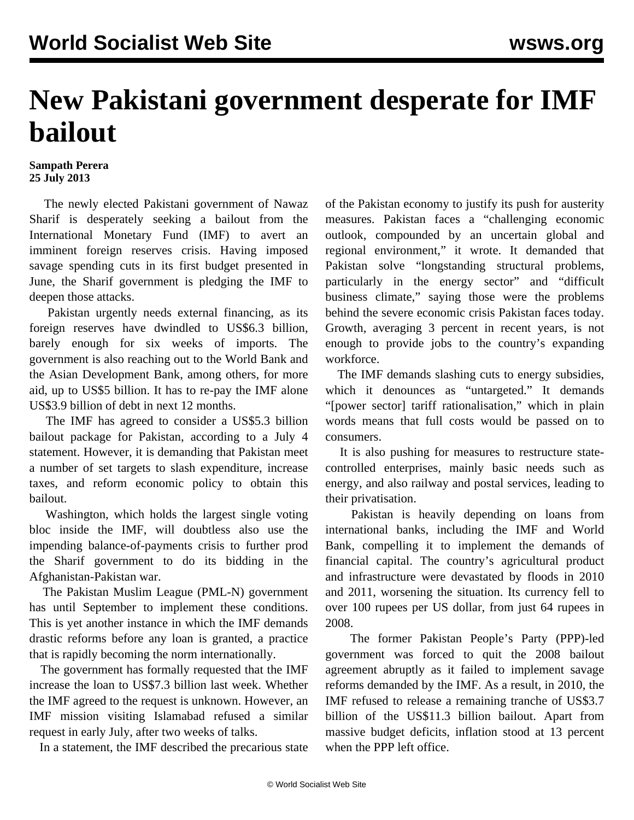## **New Pakistani government desperate for IMF bailout**

## **Sampath Perera 25 July 2013**

 The newly elected Pakistani government of Nawaz Sharif is desperately seeking a bailout from the International Monetary Fund (IMF) to avert an imminent foreign reserves crisis. Having imposed savage spending cuts in its first budget presented in June, the Sharif government is pledging the IMF to deepen those attacks.

 Pakistan urgently needs external financing, as its foreign reserves have dwindled to US\$6.3 billion, barely enough for six weeks of imports. The government is also reaching out to the World Bank and the Asian Development Bank, among others, for more aid, up to US\$5 billion. It has to re-pay the IMF alone US\$3.9 billion of debt in next 12 months.

 The IMF has agreed to consider a US\$5.3 billion bailout package for Pakistan, according to a July 4 statement. However, it is demanding that Pakistan meet a number of set targets to slash expenditure, increase taxes, and reform economic policy to obtain this bailout.

 Washington, which holds the largest single voting bloc inside the IMF, will doubtless also use the impending balance-of-payments crisis to further prod the Sharif government to do its bidding in the Afghanistan-Pakistan war.

 The Pakistan Muslim League (PML-N) government has until September to implement these conditions. This is yet another instance in which the IMF demands drastic reforms before any loan is granted, a practice that is rapidly becoming the norm internationally.

 The government has formally requested that the IMF increase the loan to US\$7.3 billion last week. Whether the IMF agreed to the request is unknown. However, an IMF mission visiting Islamabad refused a similar request in early July, after two weeks of talks.

In a statement, the IMF described the precarious state

of the Pakistan economy to justify its push for austerity measures. Pakistan faces a "challenging economic outlook, compounded by an uncertain global and regional environment," it wrote. It demanded that Pakistan solve "longstanding structural problems, particularly in the energy sector" and "difficult business climate," saying those were the problems behind the severe economic crisis Pakistan faces today. Growth, averaging 3 percent in recent years, is not enough to provide jobs to the country's expanding workforce.

 The IMF demands slashing cuts to energy subsidies, which it denounces as "untargeted." It demands "[power sector] tariff rationalisation," which in plain words means that full costs would be passed on to consumers.

 It is also pushing for measures to restructure statecontrolled enterprises, mainly basic needs such as energy, and also railway and postal services, leading to their privatisation.

 Pakistan is heavily depending on loans from international banks, including the IMF and World Bank, compelling it to implement the demands of financial capital. The country's agricultural product and infrastructure were devastated by floods in 2010 and 2011, worsening the situation. Its currency fell to over 100 rupees per US dollar, from just 64 rupees in 2008.

 The former Pakistan People's Party (PPP)-led government was forced to quit the 2008 bailout agreement abruptly as it failed to implement savage reforms demanded by the IMF. As a result, in 2010, the IMF refused to release a remaining tranche of US\$3.7 billion of the US\$11.3 billion bailout. Apart from massive budget deficits, inflation stood at 13 percent when the PPP left office.